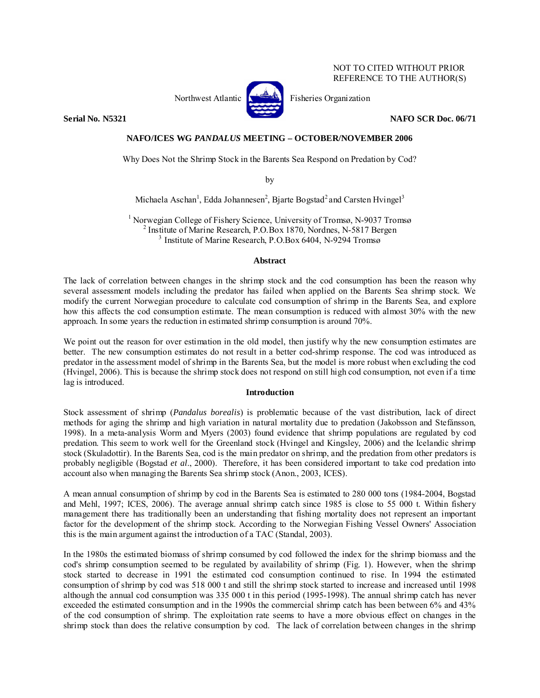## NOT TO CITED WITHOUT PRIOR REFERENCE TO THE AUTHOR(S)



Northwest Atlantic  $\left[\begin{matrix} 1 & 1 \\ 1 & 1 \end{matrix}\right]$  Fisheries Organization

**Serial No. N5321 NAFO SCR Doc. 06/71** 

# **NAFO/ICES WG** *PANDALUS* **MEETING – OCTOBER/NOVEMBER 2006**

Why Does Not the Shrimp Stock in the Barents Sea Respond on Predation by Cod?

by

Michaela Aschan<sup>1</sup>, Edda Johannesen<sup>2</sup>, Bjarte Bogstad<sup>2</sup> and Carsten Hvingel<sup>3</sup>

<sup>1</sup> Norwegian College of Fishery Science, University of Tromsø, N-9037 Tromsø <sup>2</sup> Institute of Marine Research, P.O.Box 1870, Nordnes, N-5817 Bergen <sup>3</sup> Institute of Marine Research, P.O.Box 6404, N-9294 Tromsø

### **Abstract**

The lack of correlation between changes in the shrimp stock and the cod consumption has been the reason why several assessment models including the predator has failed when applied on the Barents Sea shrimp stock. We modify the current Norwegian procedure to calculate cod consumption of shrimp in the Barents Sea, and explore how this affects the cod consumption estimate. The mean consumption is reduced with almost 30% with the new approach. In some years the reduction in estimated shrimp consumption is around 70%.

We point out the reason for over estimation in the old model, then justify why the new consumption estimates are better. The new consumption estimates do not result in a better cod-shrimp response. The cod was introduced as predator in the assessment model of shrimp in the Barents Sea, but the model is more robust when excluding the cod (Hvingel, 2006). This is because the shrimp stock does not respond on still high cod consumption, not even if a time lag is introduced.

### **Introduction**

Stock assessment of shrimp (*Pandalus borealis*) is problematic because of the vast distribution, lack of direct methods for aging the shrimp and high variation in natural mortality due to predation (Jakobsson and Stefánsson, 1998). In a meta-analysis Worm and Myers (2003) found evidence that shrimp populations are regulated by cod predation. This seem to work well for the Greenland stock (Hvingel and Kingsley, 2006) and the Icelandic shrimp stock (Skuladottir). In the Barents Sea, cod is the main predator on shrimp, and the predation from other predators is probably negligible (Bogstad *et al*., 2000). Therefore, it has been considered important to take cod predation into account also when managing the Barents Sea shrimp stock (Anon., 2003, ICES).

A mean annual consumption of shrimp by cod in the Barents Sea is estimated to 280 000 tons (1984-2004, Bogstad and Mehl, 1997; ICES, 2006). The average annual shrimp catch since 1985 is close to 55 000 t. Within fishery management there has traditionally been an understanding that fishing mortality does not represent an important factor for the development of the shrimp stock. According to the Norwegian Fishing Vessel Owners' Association this is the main argument against the introduction of a TAC (Standal, 2003).

In the 1980s the estimated biomass of shrimp consumed by cod followed the index for the shrimp biomass and the cod's shrimp consumption seemed to be regulated by availability of shrimp (Fig. 1). However, when the shrimp stock started to decrease in 1991 the estimated cod consumption continued to rise. In 1994 the estimated consumption of shrimp by cod was 518 000 t and still the shrimp stock started to increase and increased until 1998 although the annual cod consumption was 335 000 t in this period (1995-1998). The annual shrimp catch has never exceeded the estimated consumption and in the 1990s the commercial shrimp catch has been between 6% and 43% of the cod consumption of shrimp. The exploitation rate seems to have a more obvious effect on changes in the shrimp stock than does the relative consumption by cod. The lack of correlation between changes in the shrimp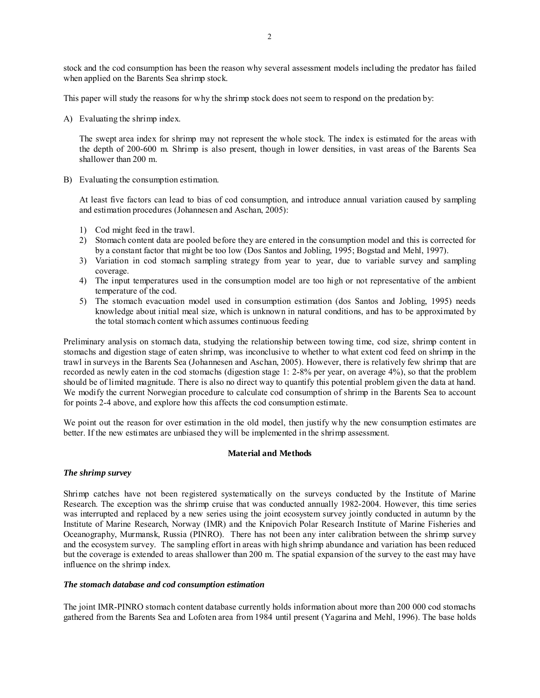stock and the cod consumption has been the reason why several assessment models including the predator has failed when applied on the Barents Sea shrimp stock.

This paper will study the reasons for why the shrimp stock does not seem to respond on the predation by:

A) Evaluating the shrimp index.

The swept area index for shrimp may not represent the whole stock. The index is estimated for the areas with the depth of 200-600 m. Shrimp is also present, though in lower densities, in vast areas of the Barents Sea shallower than 200 m.

B) Evaluating the consumption estimation.

At least five factors can lead to bias of cod consumption, and introduce annual variation caused by sampling and estimation procedures (Johannesen and Aschan, 2005):

- 1) Cod might feed in the trawl.
- 2) Stomach content data are pooled before they are entered in the consumption model and this is corrected for by a constant factor that might be too low (Dos Santos and Jobling, 1995; Bogstad and Mehl, 1997).
- 3) Variation in cod stomach sampling strategy from year to year, due to variable survey and sampling coverage.
- 4) The input temperatures used in the consumption model are too high or not representative of the ambient temperature of the cod.
- 5) The stomach evacuation model used in consumption estimation (dos Santos and Jobling, 1995) needs knowledge about initial meal size, which is unknown in natural conditions, and has to be approximated by the total stomach content which assumes continuous feeding

Preliminary analysis on stomach data, studying the relationship between towing time, cod size, shrimp content in stomachs and digestion stage of eaten shrimp, was inconclusive to whether to what extent cod feed on shrimp in the trawl in surveys in the Barents Sea (Johannesen and Aschan, 2005). However, there is relatively few shrimp that are recorded as newly eaten in the cod stomachs (digestion stage 1: 2-8% per year, on average 4%), so that the problem should be of limited magnitude. There is also no direct way to quantify this potential problem given the data at hand. We modify the current Norwegian procedure to calculate cod consumption of shrimp in the Barents Sea to account for points 2-4 above, and explore how this affects the cod consumption estimate.

We point out the reason for over estimation in the old model, then justify why the new consumption estimates are better. If the new estimates are unbiased they will be implemented in the shrimp assessment.

### **Material and Methods**

### *The shrimp survey*

Shrimp catches have not been registered systematically on the surveys conducted by the Institute of Marine Research. The exception was the shrimp cruise that was conducted annually 1982-2004. However, this time series was interrupted and replaced by a new series using the joint ecosystem survey jointly conducted in autumn by the Institute of Marine Research, Norway (IMR) and the Knipovich Polar Research Institute of Marine Fisheries and Oceanography, Murmansk, Russia (PINRO). There has not been any inter calibration between the shrimp survey and the ecosystem survey. The sampling effort in areas with high shrimp abundance and variation has been reduced but the coverage is extended to areas shallower than 200 m. The spatial expansion of the survey to the east may have influence on the shrimp index.

#### *The stomach database and cod consumption estimation*

The joint IMR-PINRO stomach content database currently holds information about more than 200 000 cod stomachs gathered from the Barents Sea and Lofoten area from 1984 until present (Yagarina and Mehl, 1996). The base holds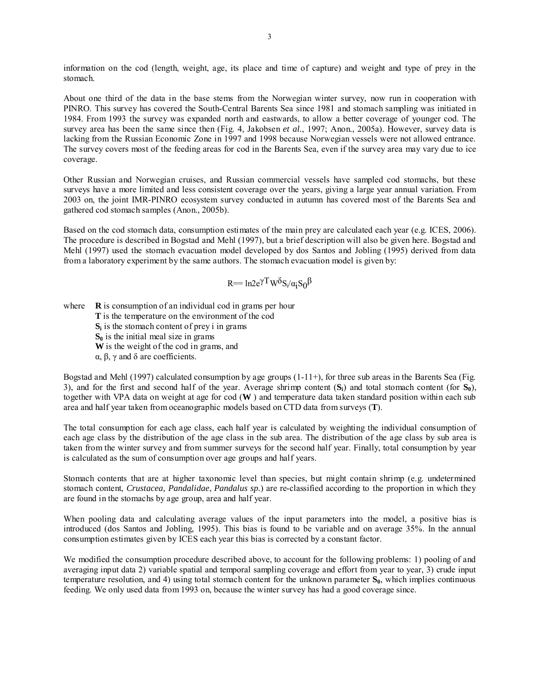information on the cod (length, weight, age, its place and time of capture) and weight and type of prey in the stomach.

About one third of the data in the base stems from the Norwegian winter survey, now run in cooperation with PINRO. This survey has covered the South-Central Barents Sea since 1981 and stomach sampling was initiated in 1984. From 1993 the survey was expanded north and eastwards, to allow a better coverage of younger cod. The survey area has been the same since then (Fig. 4, Jakobsen *et al.*, 1997; Anon., 2005a). However, survey data is lacking from the Russian Economic Zone in 1997 and 1998 because Norwegian vessels were not allowed entrance. The survey covers most of the feeding areas for cod in the Barents Sea, even if the survey area may vary due to ice coverage.

Other Russian and Norwegian cruises, and Russian commercial vessels have sampled cod stomachs, but these surveys have a more limited and less consistent coverage over the years, giving a large year annual variation. From 2003 on, the joint IMR-PINRO ecosystem survey conducted in autumn has covered most of the Barents Sea and gathered cod stomach samples (Anon., 2005b).

Based on the cod stomach data, consumption estimates of the main prey are calculated each year (e.g. ICES, 2006). The procedure is described in Bogstad and Mehl (1997), but a brief description will also be given here. Bogstad and Mehl (1997) used the stomach evacuation model developed by dos Santos and Jobling (1995) derived from data from a laboratory experiment by the same authors. The stomach evacuation model is given by:

$$
R = ln 2e^{\gamma T} W^{\delta} S_i / \alpha_i S_0^{\beta}
$$

where **R** is consumption of an individual cod in grams per hour

**T** is the temperature on the environment of the cod

**Si** is the stomach content of prey i in grams

 $S_0$  is the initial meal size in grams

**W** is the weight of the cod in grams, and

α, β, γ and δ are coefficients.

Bogstad and Mehl (1997) calculated consumption by age groups  $(1-11+)$ , for three sub areas in the Barents Sea (Fig. 3), and for the first and second half of the year. Average shrimp content  $(S_i)$  and total stomach content (for  $S_0$ ), together with VPA data on weight at age for cod (**W** ) and temperature data taken standard position within each sub area and half year taken from oceanographic models based on CTD data from surveys (**T**).

The total consumption for each age class, each half year is calculated by weighting the individual consumption of each age class by the distribution of the age class in the sub area. The distribution of the age class by sub area is taken from the winter survey and from summer surveys for the second half year. Finally, total consumption by year is calculated as the sum of consumption over age groups and half years.

Stomach contents that are at higher taxonomic level than species, but might contain shrimp (e.g. undetermined stomach content, *Crustacea, Pandalidae*, *Pandalus sp.*) are re-classified according to the proportion in which they are found in the stomachs by age group, area and half year.

When pooling data and calculating average values of the input parameters into the model, a positive bias is introduced (dos Santos and Jobling, 1995). This bias is found to be variable and on average 35%. In the annual consumption estimates given by ICES each year this bias is corrected by a constant factor.

We modified the consumption procedure described above, to account for the following problems: 1) pooling of and averaging input data 2) variable spatial and temporal sampling coverage and effort from year to year, 3) crude input temperature resolution, and 4) using total stomach content for the unknown parameter  $S_0$ , which implies continuous feeding. We only used data from 1993 on, because the winter survey has had a good coverage since.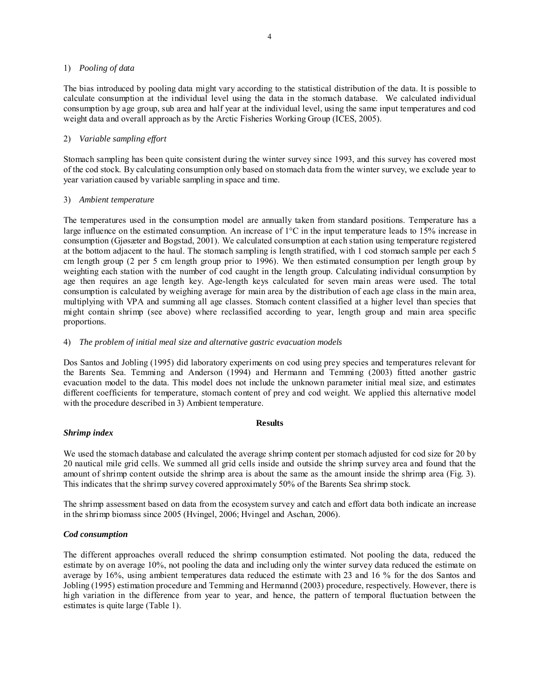### 1) *Pooling of data*

The bias introduced by pooling data might vary according to the statistical distribution of the data. It is possible to calculate consumption at the individual level using the data in the stomach database. We calculated individual consumption by age group, sub area and half year at the individual level, using the same input temperatures and cod weight data and overall approach as by the Arctic Fisheries Working Group (ICES, 2005).

### 2) *Variable sampling effort*

Stomach sampling has been quite consistent during the winter survey since 1993, and this survey has covered most of the cod stock. By calculating consumption only based on stomach data from the winter survey, we exclude year to year variation caused by variable sampling in space and time.

### 3) *Ambient temperature*

The temperatures used in the consumption model are annually taken from standard positions. Temperature has a large influence on the estimated consumption. An increase of 1°C in the input temperature leads to 15% increase in consumption (Gjøsæter and Bogstad, 2001). We calculated consumption at each station using temperature registered at the bottom adjacent to the haul. The stomach sampling is length stratified, with 1 cod stomach sample per each 5 cm length group (2 per 5 cm length group prior to 1996). We then estimated consumption per length group by weighting each station with the number of cod caught in the length group. Calculating individual consumption by age then requires an age length key. Age-length keys calculated for seven main areas were used. The total consumption is calculated by weighing average for main area by the distribution of each age class in the main area, multiplying with VPA and summing all age classes. Stomach content classified at a higher level than species that might contain shrimp (see above) where reclassified according to year, length group and main area specific proportions.

### 4) *The problem of initial meal size and alternative gastric evacuation models*

Dos Santos and Jobling (1995) did laboratory experiments on cod using prey species and temperatures relevant for the Barents Sea. Temming and Anderson (1994) and Hermann and Temming (2003) fitted another gastric evacuation model to the data. This model does not include the unknown parameter initial meal size, and estimates different coefficients for temperature, stomach content of prey and cod weight. We applied this alternative model with the procedure described in 3) Ambient temperature.

### **Results**

### *Shrimp index*

We used the stomach database and calculated the average shrimp content per stomach adjusted for cod size for 20 by 20 nautical mile grid cells. We summed all grid cells inside and outside the shrimp survey area and found that the amount of shrimp content outside the shrimp area is about the same as the amount inside the shrimp area (Fig. 3). This indicates that the shrimp survey covered approximately 50% of the Barents Sea shrimp stock.

The shrimp assessment based on data from the ecosystem survey and catch and effort data both indicate an increase in the shrimp biomass since 2005 (Hvingel, 2006; Hvingel and Aschan, 2006).

### *Cod consumption*

The different approaches overall reduced the shrimp consumption estimated. Not pooling the data, reduced the estimate by on average 10%, not pooling the data and including only the winter survey data reduced the estimate on average by 16%, using ambient temperatures data reduced the estimate with 23 and 16 % for the dos Santos and Jobling (1995) estimation procedure and Temming and Hermannd (2003) procedure, respectively. However, there is high variation in the difference from year to year, and hence, the pattern of temporal fluctuation between the estimates is quite large (Table 1).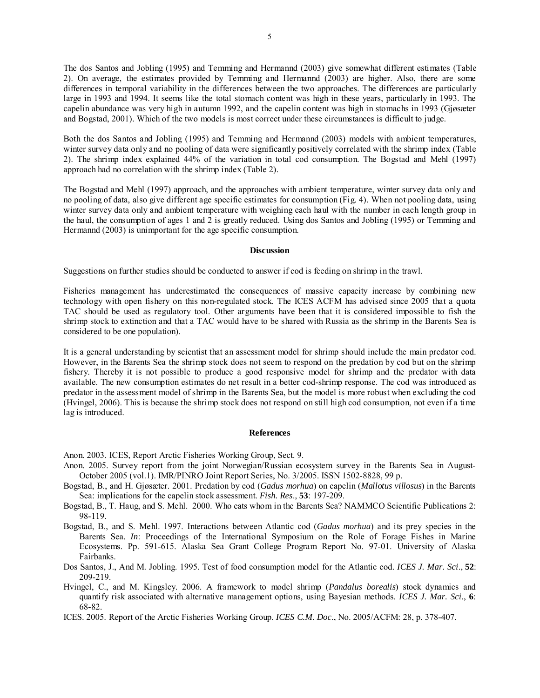The dos Santos and Jobling (1995) and Temming and Hermannd (2003) give somewhat different estimates (Table 2). On average, the estimates provided by Temming and Hermannd (2003) are higher. Also, there are some differences in temporal variability in the differences between the two approaches. The differences are particularly large in 1993 and 1994. It seems like the total stomach content was high in these years, particularly in 1993. The capelin abundance was very high in autumn 1992, and the capelin content was high in stomachs in 1993 (Gjøsæter and Bogstad, 2001). Which of the two models is most correct under these circumstances is difficult to judge.

Both the dos Santos and Jobling (1995) and Temming and Hermannd (2003) models with ambient temperatures, winter survey data only and no pooling of data were significantly positively correlated with the shrimp index (Table 2). The shrimp index explained 44% of the variation in total cod consumption. The Bogstad and Mehl (1997) approach had no correlation with the shrimp index (Table 2).

The Bogstad and Mehl (1997) approach, and the approaches with ambient temperature, winter survey data only and no pooling of data, also give different age specific estimates for consumption (Fig. 4). When not pooling data, using winter survey data only and ambient temperature with weighing each haul with the number in each length group in the haul, the consumption of ages 1 and 2 is greatly reduced. Using dos Santos and Jobling (1995) or Temming and Hermannd (2003) is unimportant for the age specific consumption.

#### **Discussion**

Suggestions on further studies should be conducted to answer if cod is feeding on shrimp in the trawl.

Fisheries management has underestimated the consequences of massive capacity increase by combining new technology with open fishery on this non-regulated stock. The ICES ACFM has advised since 2005 that a quota TAC should be used as regulatory tool. Other arguments have been that it is considered impossible to fish the shrimp stock to extinction and that a TAC would have to be shared with Russia as the shrimp in the Barents Sea is considered to be one population).

It is a general understanding by scientist that an assessment model for shrimp should include the main predator cod. However, in the Barents Sea the shrimp stock does not seem to respond on the predation by cod but on the shrimp fishery. Thereby it is not possible to produce a good responsive model for shrimp and the predator with data available. The new consumption estimates do net result in a better cod-shrimp response. The cod was introduced as predator in the assessment model of shrimp in the Barents Sea, but the model is more robust when excluding the cod (Hvingel, 2006). This is because the shrimp stock does not respond on still high cod consumption, not even if a time lag is introduced.

#### **References**

Anon. 2003. ICES, Report Arctic Fisheries Working Group, Sect. 9.

- Anon. 2005. Survey report from the joint Norwegian/Russian ecosystem survey in the Barents Sea in August-October 2005 (vol.1). IMR/PINRO Joint Report Series, No. 3/2005. ISSN 1502-8828, 99 p.
- Bogstad, B., and H. Gjøsæter. 2001. Predation by cod (*Gadus morhua*) on capelin (*Mallotus villosus*) in the Barents Sea: implications for the capelin stock assessment. *Fish. Res*., **53**: 197-209.
- Bogstad, B., T. Haug, and S. Mehl. 2000. Who eats whom in the Barents Sea? NAMMCO Scientific Publications 2: 98-119.
- Bogstad, B., and S. Mehl. 1997. Interactions between Atlantic cod (*Gadus morhua*) and its prey species in the Barents Sea. *In*: Proceedings of the International Symposium on the Role of Forage Fishes in Marine Ecosystems. Pp. 591-615. Alaska Sea Grant College Program Report No. 97-01. University of Alaska Fairbanks.
- Dos Santos, J., And M. Jobling. 1995. Test of food consumption model for the Atlantic cod. *ICES J. Mar. Sci*., **52**: 209-219.
- Hvingel, C., and M. Kingsley. 2006. A framework to model shrimp (*Pandalus borealis*) stock dynamics and quantify risk associated with alternative management options, using Bayesian methods. *ICES J. Mar. Sci*., **6**: 68-82.
- ICES. 2005. Report of the Arctic Fisheries Working Group. *ICES C.M. Doc*., No. 2005/ACFM: 28, p. 378-407.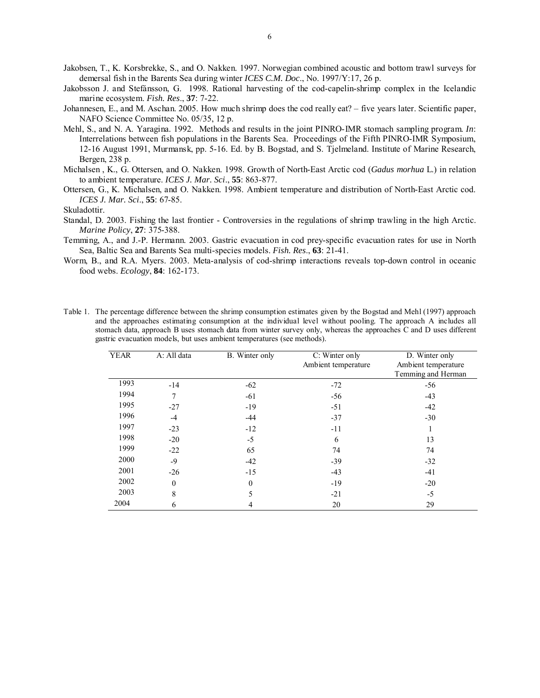- Jakobsen, T., K. Korsbrekke, S., and O. Nakken. 1997. Norwegian combined acoustic and bottom trawl surveys for demersal fish in the Barents Sea during winter *ICES C.M. Doc*., No. 1997/Y:17, 26 p.
- Jakobsson J. and Stefánsson, G. 1998. Rational harvesting of the cod-capelin-shrimp complex in the Icelandic marine ecosystem. *Fish. Res*., **37**: 7-22.
- Johannesen, E., and M. Aschan. 2005. How much shrimp does the cod really eat? five years later. Scientific paper, NAFO Science Committee No. 05/35, 12 p.
- Mehl, S., and N. A. Yaragina. 1992. Methods and results in the joint PINRO-IMR stomach sampling program. *In*: Interrelations between fish populations in the Barents Sea. Proceedings of the Fifth PINRO-IMR Symposium, 12-16 August 1991, Murmansk, pp. 5-16. Ed. by B. Bogstad, and S. Tjelmeland. Institute of Marine Research, Bergen, 238 p.
- Michalsen , K., G. Ottersen, and O. Nakken. 1998. Growth of North-East Arctic cod (*Gadus morhua* L.) in relation to ambient temperature. *ICES J. Mar. Sci*., **55**: 863-877.
- Ottersen, G., K. Michalsen, and O. Nakken. 1998. Ambient temperature and distribution of North-East Arctic cod. *ICES J. Mar. Sci*., **55**: 67-85.

Skuladottir.

- Standal, D. 2003. Fishing the last frontier Controversies in the regulations of shrimp trawling in the high Arctic. *Marine Policy*, **27**: 375-388.
- Temming, A., and J.-P. Hermann. 2003. Gastric evacuation in cod prey-specific evacuation rates for use in North Sea, Baltic Sea and Barents Sea multi-species models. *Fish. Res*., **63**: 21-41.
- Worm, B., and R.A. Myers. 2003. Meta-analysis of cod-shrimp interactions reveals top-down control in oceanic food webs. *Ecology*, **84**: 162-173.

Table 1. The percentage difference between the shrimp consumption estimates given by the Bogstad and Mehl (1997) approach and the approaches estimating consumption at the individual level without pooling. The approach A includes all stomach data, approach B uses stomach data from winter survey only, whereas the approaches C and D uses different gastric evacuation models, but uses ambient temperatures (see methods).

| <b>YEAR</b> | A: All data | B. Winter only | C: Winter only      | D. Winter only      |
|-------------|-------------|----------------|---------------------|---------------------|
|             |             |                | Ambient temperature | Ambient temperature |
|             |             |                |                     | Temming and Herman  |
| 1993        | $-14$       | $-62$          | $-72$               | -56                 |
| 1994        | 7           | $-61$          | $-56$               | $-43$               |
| 1995        | $-27$       | $-19$          | $-51$               | $-42$               |
| 1996        | $-4$        | $-44$          | $-37$               | $-30$               |
| 1997        | $-23$       | $-12$          | $-11$               |                     |
| 1998        | $-20$       | $-5$           | 6                   | 13                  |
| 1999        | $-22$       | 65             | 74                  | 74                  |
| 2000        | $-9$        | $-42$          | $-39$               | $-32$               |
| 2001        | $-26$       | $-15$          | $-43$               | $-41$               |
| 2002        | $\theta$    | 0              | $-19$               | $-20$               |
| 2003        | 8           | 5              | $-21$               | $-5$                |
| 2004        | 6           | 4              | 20                  | 29                  |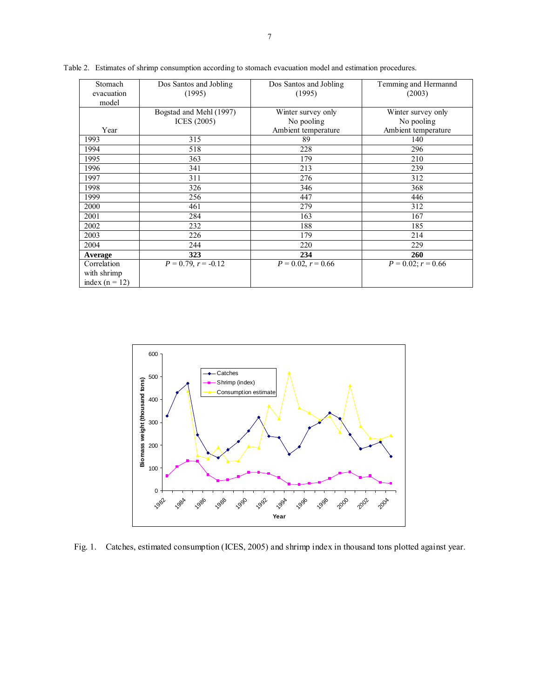| Stomach<br>evacuation<br>model | Dos Santos and Jobling<br>(1995) | Dos Santos and Jobling<br>(1995) | Temming and Hermannd<br>(2003) |
|--------------------------------|----------------------------------|----------------------------------|--------------------------------|
|                                | Bogstad and Mehl (1997)          | Winter survey only               | Winter survey only             |
|                                | ICES (2005)                      | No pooling                       | No pooling                     |
| Year                           |                                  | Ambient temperature              | Ambient temperature            |
| 1993                           | 315                              | 89                               | 140                            |
| 1994                           | 518                              | 228                              | 296                            |
| 1995                           | 363                              | 179                              | 210                            |
| 1996                           | 341                              | 213                              | 239                            |
| 1997                           | 311                              | 276                              | 312                            |
| 1998                           | 326                              | 346                              | 368                            |
| 1999                           | 256                              | 447                              | 446                            |
| 2000                           | 461                              | 279                              | 312                            |
| 2001                           | 284                              | 163                              | 167                            |
| 2002                           | 232                              | 188                              | 185                            |
| 2003                           | 226                              | 179                              | 214                            |
| 2004                           | 244                              | 220                              | 229                            |
| Average                        | 323                              | 234                              | <b>260</b>                     |
| Correlation                    | $P = 0.79$ , $r = -0.12$         | $P = 0.02, r = 0.66$             | $P = 0.02$ ; $r = 0.66$        |
| with shrimp                    |                                  |                                  |                                |
| index $(n = 12)$               |                                  |                                  |                                |

Table 2. Estimates of shrimp consumption according to stomach evacuation model and estimation procedures.



Fig. 1. Catches, estimated consumption (ICES, 2005) and shrimp index in thousand tons plotted against year.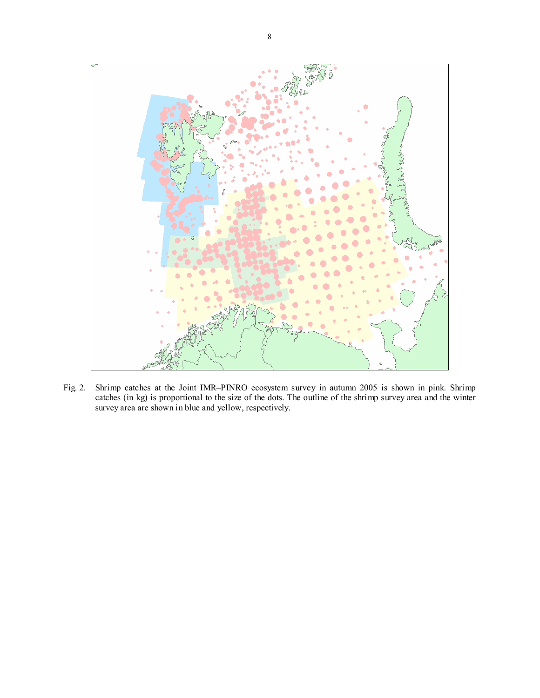

Fig. 2. Shrimp catches at the Joint IMR–PINRO ecosystem survey in autumn 2005 is shown in pink. Shrimp catches (in kg) is proportional to the size of the dots. The outline of the shrimp survey area and the winter survey area are shown in blue and yellow, respectively.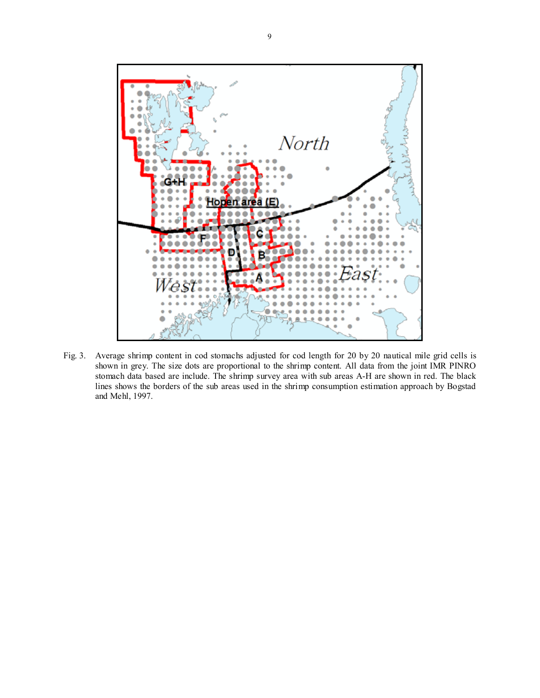

Fig. 3. Average shrimp content in cod stomachs adjusted for cod length for 20 by 20 nautical mile grid cells is shown in grey. The size dots are proportional to the shrimp content. All data from the joint IMR PINRO stomach data based are include. The shrimp survey area with sub areas A-H are shown in red. The black lines shows the borders of the sub areas used in the shrimp consumption estimation approach by Bogstad and Mehl, 1997.